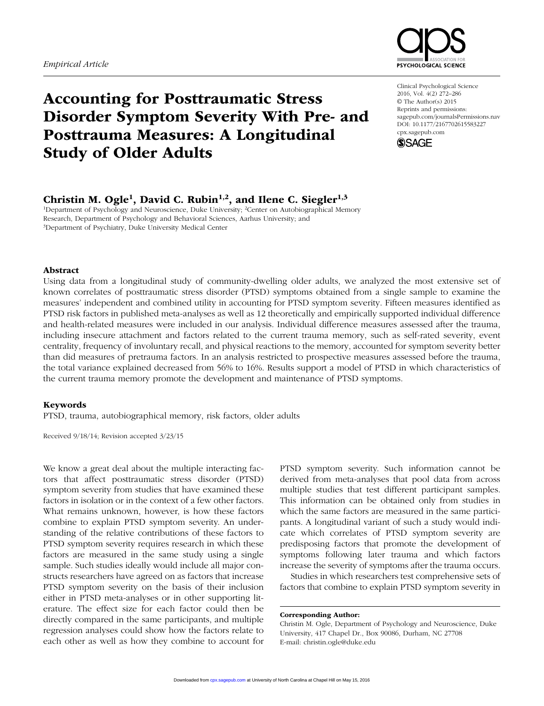

# Accounting for Posttraumatic Stress Disorder Symptom Severity With Pre- and Posttrauma Measures: A Longitudinal Study of Older Adults

Clinical Psychological Science 2016, Vol. 4(2) 272–286 © The Author(s) 2015 Reprints and permissions: sagepub.com/journalsPermissions.nav DOI: 10.1177/2167702615583227 cpx.sagepub.com



# Christin M. Ogle<sup>1</sup>, David C. Rubin<sup>1,2</sup>, and Ilene C. Siegler<sup>1,3</sup>

<sup>1</sup>Department of Psychology and Neuroscience, Duke University; <sup>2</sup>Center on Autobiographical Memory Research, Department of Psychology and Behavioral Sciences, Aarhus University; and <sup>3</sup>Department of Psychiatry, Duke University Medical Center

### Abstract

Using data from a longitudinal study of community-dwelling older adults, we analyzed the most extensive set of known correlates of posttraumatic stress disorder (PTSD) symptoms obtained from a single sample to examine the measures' independent and combined utility in accounting for PTSD symptom severity. Fifteen measures identified as PTSD risk factors in published meta-analyses as well as 12 theoretically and empirically supported individual difference and health-related measures were included in our analysis. Individual difference measures assessed after the trauma, including insecure attachment and factors related to the current trauma memory, such as self-rated severity, event centrality, frequency of involuntary recall, and physical reactions to the memory, accounted for symptom severity better than did measures of pretrauma factors. In an analysis restricted to prospective measures assessed before the trauma, the total variance explained decreased from 56% to 16%. Results support a model of PTSD in which characteristics of the current trauma memory promote the development and maintenance of PTSD symptoms.

#### Keywords

PTSD, trauma, autobiographical memory, risk factors, older adults

Received 9/18/14; Revision accepted 3/23/15

We know a great deal about the multiple interacting factors that affect posttraumatic stress disorder (PTSD) symptom severity from studies that have examined these factors in isolation or in the context of a few other factors. What remains unknown, however, is how these factors combine to explain PTSD symptom severity. An understanding of the relative contributions of these factors to PTSD symptom severity requires research in which these factors are measured in the same study using a single sample. Such studies ideally would include all major constructs researchers have agreed on as factors that increase PTSD symptom severity on the basis of their inclusion either in PTSD meta-analyses or in other supporting literature. The effect size for each factor could then be directly compared in the same participants, and multiple regression analyses could show how the factors relate to each other as well as how they combine to account for

PTSD symptom severity. Such information cannot be derived from meta-analyses that pool data from across multiple studies that test different participant samples. This information can be obtained only from studies in which the same factors are measured in the same participants. A longitudinal variant of such a study would indicate which correlates of PTSD symptom severity are predisposing factors that promote the development of symptoms following later trauma and which factors increase the severity of symptoms after the trauma occurs.

Studies in which researchers test comprehensive sets of factors that combine to explain PTSD symptom severity in

Corresponding Author:

Christin M. Ogle, Department of Psychology and Neuroscience, Duke University, 417 Chapel Dr., Box 90086, Durham, NC 27708 E-mail: [christin.ogle@duke.edu](mailto:christin.ogle@duke.edu)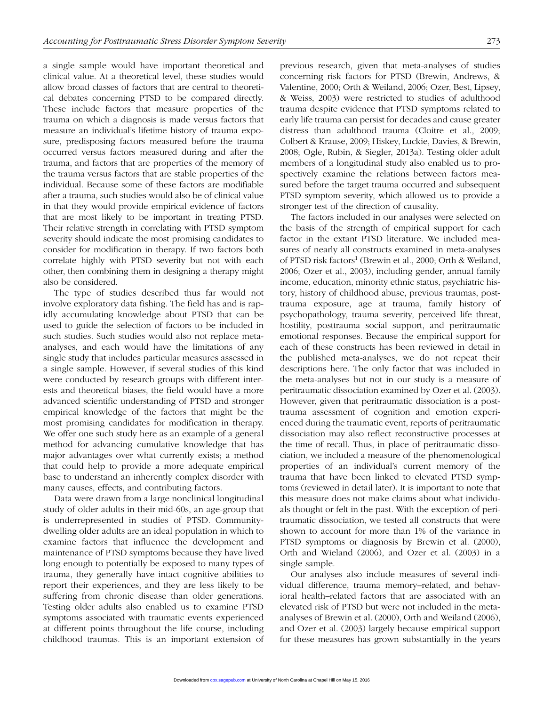a single sample would have important theoretical and clinical value. At a theoretical level, these studies would allow broad classes of factors that are central to theoretical debates concerning PTSD to be compared directly. These include factors that measure properties of the trauma on which a diagnosis is made versus factors that measure an individual's lifetime history of trauma exposure, predisposing factors measured before the trauma occurred versus factors measured during and after the trauma, and factors that are properties of the memory of the trauma versus factors that are stable properties of the individual. Because some of these factors are modifiable after a trauma, such studies would also be of clinical value in that they would provide empirical evidence of factors that are most likely to be important in treating PTSD. Their relative strength in correlating with PTSD symptom severity should indicate the most promising candidates to consider for modification in therapy. If two factors both correlate highly with PTSD severity but not with each other, then combining them in designing a therapy might also be considered.

The type of studies described thus far would not involve exploratory data fishing. The field has and is rapidly accumulating knowledge about PTSD that can be used to guide the selection of factors to be included in such studies. Such studies would also not replace metaanalyses, and each would have the limitations of any single study that includes particular measures assessed in a single sample. However, if several studies of this kind were conducted by research groups with different interests and theoretical biases, the field would have a more advanced scientific understanding of PTSD and stronger empirical knowledge of the factors that might be the most promising candidates for modification in therapy. We offer one such study here as an example of a general method for advancing cumulative knowledge that has major advantages over what currently exists; a method that could help to provide a more adequate empirical base to understand an inherently complex disorder with many causes, effects, and contributing factors.

Data were drawn from a large nonclinical longitudinal study of older adults in their mid-60s, an age-group that is underrepresented in studies of PTSD. Communitydwelling older adults are an ideal population in which to examine factors that influence the development and maintenance of PTSD symptoms because they have lived long enough to potentially be exposed to many types of trauma, they generally have intact cognitive abilities to report their experiences, and they are less likely to be suffering from chronic disease than older generations. Testing older adults also enabled us to examine PTSD symptoms associated with traumatic events experienced at different points throughout the life course, including childhood traumas. This is an important extension of previous research, given that meta-analyses of studies concerning risk factors for PTSD (Brewin, Andrews, & Valentine, 2000; Orth & Weiland, 2006; Ozer, Best, Lipsey, & Weiss, 2003) were restricted to studies of adulthood trauma despite evidence that PTSD symptoms related to early life trauma can persist for decades and cause greater distress than adulthood trauma (Cloitre et al., 2009; Colbert & Krause, 2009; Hiskey, Luckie, Davies, & Brewin, 2008; Ogle, Rubin, & Siegler, 2013a). Testing older adult members of a longitudinal study also enabled us to prospectively examine the relations between factors measured before the target trauma occurred and subsequent PTSD symptom severity, which allowed us to provide a stronger test of the direction of causality.

The factors included in our analyses were selected on the basis of the strength of empirical support for each factor in the extant PTSD literature. We included measures of nearly all constructs examined in meta-analyses of PTSD risk factors<sup>1</sup> (Brewin et al., 2000; Orth & Weiland, 2006; Ozer et al., 2003), including gender, annual family income, education, minority ethnic status, psychiatric history, history of childhood abuse, previous traumas, posttrauma exposure, age at trauma, family history of psychopathology, trauma severity, perceived life threat, hostility, posttrauma social support, and peritraumatic emotional responses. Because the empirical support for each of these constructs has been reviewed in detail in the published meta-analyses, we do not repeat their descriptions here. The only factor that was included in the meta-analyses but not in our study is a measure of peritraumatic dissociation examined by Ozer et al. (2003). However, given that peritraumatic dissociation is a posttrauma assessment of cognition and emotion experienced during the traumatic event, reports of peritraumatic dissociation may also reflect reconstructive processes at the time of recall. Thus, in place of peritraumatic dissociation, we included a measure of the phenomenological properties of an individual's current memory of the trauma that have been linked to elevated PTSD symptoms (reviewed in detail later). It is important to note that this measure does not make claims about what individuals thought or felt in the past. With the exception of peritraumatic dissociation, we tested all constructs that were shown to account for more than 1% of the variance in PTSD symptoms or diagnosis by Brewin et al. (2000), Orth and Wieland (2006), and Ozer et al. (2003) in a single sample.

Our analyses also include measures of several individual difference, trauma memory–related, and behavioral health–related factors that are associated with an elevated risk of PTSD but were not included in the metaanalyses of Brewin et al. (2000), Orth and Weiland (2006), and Ozer et al. (2003) largely because empirical support for these measures has grown substantially in the years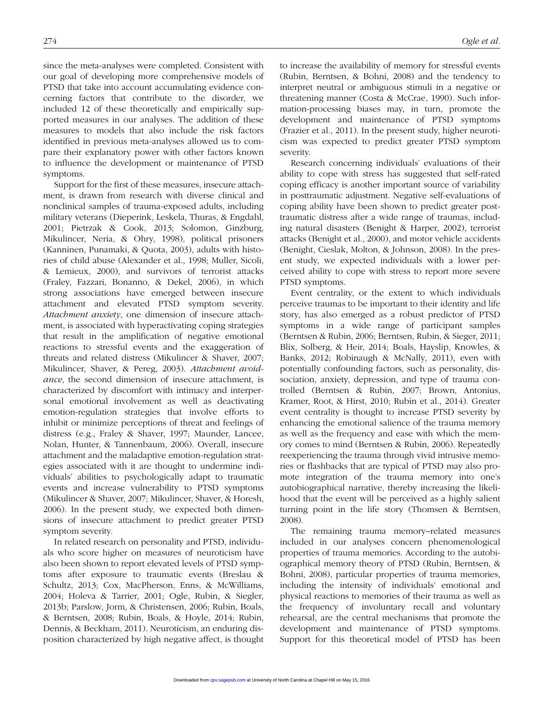since the meta-analyses were completed. Consistent with our goal of developing more comprehensive models of PTSD that take into account accumulating evidence concerning factors that contribute to the disorder, we included 12 of these theoretically and empirically supported measures in our analyses. The addition of these measures to models that also include the risk factors identified in previous meta-analyses allowed us to compare their explanatory power with other factors known to influence the development or maintenance of PTSD symptoms.

Support for the first of these measures, insecure attachment, is drawn from research with diverse clinical and nonclinical samples of trauma-exposed adults, including military veterans (Dieperink, Leskela, Thuras, & Engdahl, 2001; Pietrzak & Cook, 2013; Solomon, Ginzburg, Mikulincer, Neria, & Ohry, 1998), political prisoners (Kanninen, Punamaki, & Quota, 2003), adults with histories of child abuse (Alexander et al., 1998; Muller, Sicoli, & Lemieux, 2000), and survivors of terrorist attacks (Fraley, Fazzari, Bonanno, & Dekel, 2006), in which strong associations have emerged between insecure attachment and elevated PTSD symptom severity. *Attachment anxiety*, one dimension of insecure attachment, is associated with hyperactivating coping strategies that result in the amplification of negative emotional reactions to stressful events and the exaggeration of threats and related distress (Mikulincer & Shaver, 2007; Mikulincer, Shaver, & Pereg, 2003). *Attachment avoidance*, the second dimension of insecure attachment, is characterized by discomfort with intimacy and interpersonal emotional involvement as well as deactivating emotion-regulation strategies that involve efforts to inhibit or minimize perceptions of threat and feelings of distress (e.g., Fraley & Shaver, 1997; Maunder, Lancee, Nolan, Hunter, & Tannenbaum, 2006). Overall, insecure attachment and the maladaptive emotion-regulation strategies associated with it are thought to undermine individuals' abilities to psychologically adapt to traumatic events and increase vulnerability to PTSD symptoms (Mikulincer & Shaver, 2007; Mikulincer, Shaver, & Horesh, 2006). In the present study, we expected both dimensions of insecure attachment to predict greater PTSD symptom severity.

In related research on personality and PTSD, individuals who score higher on measures of neuroticism have also been shown to report elevated levels of PTSD symptoms after exposure to traumatic events (Breslau & Schultz, 2013; Cox, MacPherson, Enns, & McWilliams, 2004; Holeva & Tarrier, 2001; Ogle, Rubin, & Siegler, 2013b; Parslow, Jorm, & Christensen, 2006; Rubin, Boals, & Berntsen, 2008; Rubin, Boals, & Hoyle, 2014; Rubin, Dennis, & Beckham, 2011). Neuroticism, an enduring disposition characterized by high negative affect, is thought to increase the availability of memory for stressful events (Rubin, Berntsen, & Bohni, 2008) and the tendency to interpret neutral or ambiguous stimuli in a negative or threatening manner (Costa & McCrae, 1990). Such information-processing biases may, in turn, promote the development and maintenance of PTSD symptoms (Frazier et al., 2011). In the present study, higher neuroticism was expected to predict greater PTSD symptom severity.

Research concerning individuals' evaluations of their ability to cope with stress has suggested that self-rated coping efficacy is another important source of variability in posttraumatic adjustment. Negative self-evaluations of coping ability have been shown to predict greater posttraumatic distress after a wide range of traumas, including natural disasters (Benight & Harper, 2002), terrorist attacks (Benight et al., 2000), and motor vehicle accidents (Benight, Cieslak, Molton, & Johnson, 2008). In the present study, we expected individuals with a lower perceived ability to cope with stress to report more severe PTSD symptoms.

Event centrality, or the extent to which individuals perceive traumas to be important to their identity and life story, has also emerged as a robust predictor of PTSD symptoms in a wide range of participant samples (Berntsen & Rubin, 2006; Berntsen, Rubin, & Sieger, 2011; Blix, Solberg, & Heir, 2014; Boals, Hayslip, Knowles, & Banks, 2012; Robinaugh & McNally, 2011), even with potentially confounding factors, such as personality, dissociation, anxiety, depression, and type of trauma controlled (Berntsen & Rubin, 2007; Brown, Antonius, Kramer, Root, & Hirst, 2010; Rubin et al., 2014). Greater event centrality is thought to increase PTSD severity by enhancing the emotional salience of the trauma memory as well as the frequency and ease with which the memory comes to mind (Berntsen & Rubin, 2006). Repeatedly reexperiencing the trauma through vivid intrusive memories or flashbacks that are typical of PTSD may also promote integration of the trauma memory into one's autobiographical narrative, thereby increasing the likelihood that the event will be perceived as a highly salient turning point in the life story (Thomsen & Berntsen, 2008).

The remaining trauma memory–related measures included in our analyses concern phenomenological properties of trauma memories. According to the autobiographical memory theory of PTSD (Rubin, Berntsen, & Bohni, 2008), particular properties of trauma memories, including the intensity of individuals' emotional and physical reactions to memories of their trauma as well as the frequency of involuntary recall and voluntary rehearsal, are the central mechanisms that promote the development and maintenance of PTSD symptoms. Support for this theoretical model of PTSD has been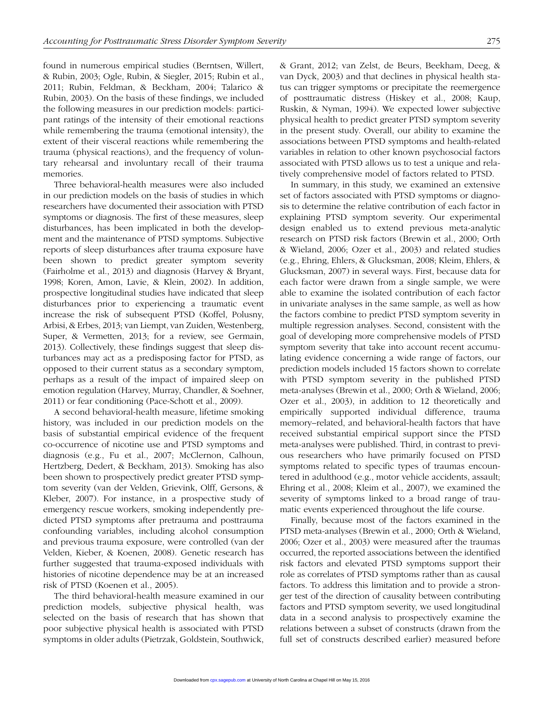found in numerous empirical studies (Berntsen, Willert, & Rubin, 2003; Ogle, Rubin, & Siegler, 2015; Rubin et al., 2011; Rubin, Feldman, & Beckham, 2004; Talarico & Rubin, 2003). On the basis of these findings, we included the following measures in our prediction models: participant ratings of the intensity of their emotional reactions while remembering the trauma (emotional intensity), the extent of their visceral reactions while remembering the trauma (physical reactions), and the frequency of voluntary rehearsal and involuntary recall of their trauma memories.

Three behavioral-health measures were also included in our prediction models on the basis of studies in which researchers have documented their association with PTSD symptoms or diagnosis. The first of these measures, sleep disturbances, has been implicated in both the development and the maintenance of PTSD symptoms. Subjective reports of sleep disturbances after trauma exposure have been shown to predict greater symptom severity (Fairholme et al., 2013) and diagnosis (Harvey & Bryant, 1998; Koren, Amon, Lavie, & Klein, 2002). In addition, prospective longitudinal studies have indicated that sleep disturbances prior to experiencing a traumatic event increase the risk of subsequent PTSD (Koffel, Polusny, Arbisi, & Erbes, 2013; van Liempt, van Zuiden, Westenberg, Super, & Vermetten, 2013; for a review, see Germain, 2013). Collectively, these findings suggest that sleep disturbances may act as a predisposing factor for PTSD, as opposed to their current status as a secondary symptom, perhaps as a result of the impact of impaired sleep on emotion regulation (Harvey, Murray, Chandler, & Soehner, 2011) or fear conditioning (Pace-Schott et al., 2009).

A second behavioral-health measure, lifetime smoking history, was included in our prediction models on the basis of substantial empirical evidence of the frequent co-occurrence of nicotine use and PTSD symptoms and diagnosis (e.g., Fu et al., 2007; McClernon, Calhoun, Hertzberg, Dedert, & Beckham, 2013). Smoking has also been shown to prospectively predict greater PTSD symptom severity (van der Velden, Grievink, Olff, Gersons, & Kleber, 2007). For instance, in a prospective study of emergency rescue workers, smoking independently predicted PTSD symptoms after pretrauma and posttrauma confounding variables, including alcohol consumption and previous trauma exposure, were controlled (van der Velden, Kieber, & Koenen, 2008). Genetic research has further suggested that trauma-exposed individuals with histories of nicotine dependence may be at an increased risk of PTSD (Koenen et al., 2005).

The third behavioral-health measure examined in our prediction models, subjective physical health, was selected on the basis of research that has shown that poor subjective physical health is associated with PTSD symptoms in older adults (Pietrzak, Goldstein, Southwick, & Grant, 2012; van Zelst, de Beurs, Beekham, Deeg, & van Dyck, 2003) and that declines in physical health status can trigger symptoms or precipitate the reemergence of posttraumatic distress (Hiskey et al., 2008; Kaup, Ruskin, & Nyman, 1994). We expected lower subjective physical health to predict greater PTSD symptom severity in the present study. Overall, our ability to examine the associations between PTSD symptoms and health-related variables in relation to other known psychosocial factors associated with PTSD allows us to test a unique and relatively comprehensive model of factors related to PTSD.

In summary, in this study, we examined an extensive set of factors associated with PTSD symptoms or diagnosis to determine the relative contribution of each factor in explaining PTSD symptom severity. Our experimental design enabled us to extend previous meta-analytic research on PTSD risk factors (Brewin et al., 2000; Orth & Wieland, 2006; Ozer et al., 2003) and related studies (e.g., Ehring, Ehlers, & Glucksman, 2008; Kleim, Ehlers, & Glucksman, 2007) in several ways. First, because data for each factor were drawn from a single sample, we were able to examine the isolated contribution of each factor in univariate analyses in the same sample, as well as how the factors combine to predict PTSD symptom severity in multiple regression analyses. Second, consistent with the goal of developing more comprehensive models of PTSD symptom severity that take into account recent accumulating evidence concerning a wide range of factors, our prediction models included 15 factors shown to correlate with PTSD symptom severity in the published PTSD meta-analyses (Brewin et al., 2000; Orth & Wieland, 2006; Ozer et al., 2003), in addition to 12 theoretically and empirically supported individual difference, trauma memory–related, and behavioral-health factors that have received substantial empirical support since the PTSD meta-analyses were published. Third, in contrast to previous researchers who have primarily focused on PTSD symptoms related to specific types of traumas encountered in adulthood (e.g., motor vehicle accidents, assault; Ehring et al., 2008; Kleim et al., 2007), we examined the severity of symptoms linked to a broad range of traumatic events experienced throughout the life course.

Finally, because most of the factors examined in the PTSD meta-analyses (Brewin et al., 2000; Orth & Wieland, 2006; Ozer et al., 2003) were measured after the traumas occurred, the reported associations between the identified risk factors and elevated PTSD symptoms support their role as correlates of PTSD symptoms rather than as causal factors. To address this limitation and to provide a stronger test of the direction of causality between contributing factors and PTSD symptom severity, we used longitudinal data in a second analysis to prospectively examine the relations between a subset of constructs (drawn from the full set of constructs described earlier) measured before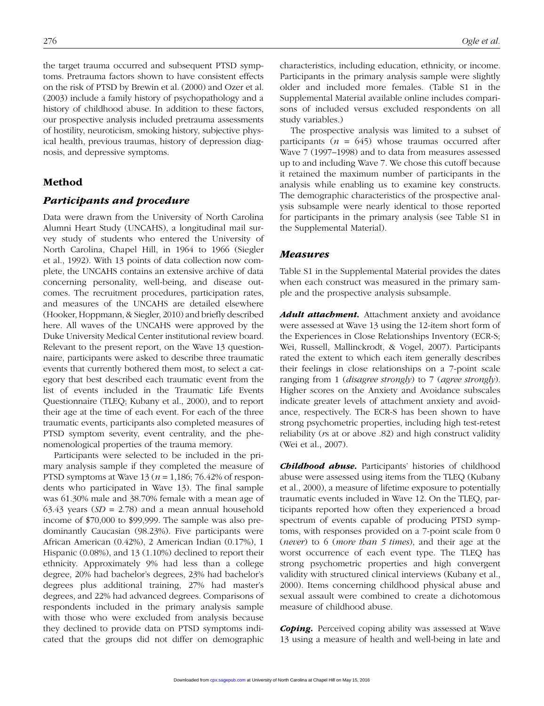the target trauma occurred and subsequent PTSD symptoms. Pretrauma factors shown to have consistent effects on the risk of PTSD by Brewin et al. (2000) and Ozer et al. (2003) include a family history of psychopathology and a history of childhood abuse. In addition to these factors, our prospective analysis included pretrauma assessments of hostility, neuroticism, smoking history, subjective physical health, previous traumas, history of depression diagnosis, and depressive symptoms.

## Method

## *Participants and procedure*

Data were drawn from the University of North Carolina Alumni Heart Study (UNCAHS), a longitudinal mail survey study of students who entered the University of North Carolina, Chapel Hill, in 1964 to 1966 (Siegler et al., 1992). With 13 points of data collection now complete, the UNCAHS contains an extensive archive of data concerning personality, well-being, and disease outcomes. The recruitment procedures, participation rates, and measures of the UNCAHS are detailed elsewhere (Hooker, Hoppmann, & Siegler, 2010) and briefly described here. All waves of the UNCAHS were approved by the Duke University Medical Center institutional review board. Relevant to the present report, on the Wave 13 questionnaire, participants were asked to describe three traumatic events that currently bothered them most, to select a category that best described each traumatic event from the list of events included in the Traumatic Life Events Questionnaire (TLEQ; Kubany et al., 2000), and to report their age at the time of each event. For each of the three traumatic events, participants also completed measures of PTSD symptom severity, event centrality, and the phenomenological properties of the trauma memory.

Participants were selected to be included in the primary analysis sample if they completed the measure of PTSD symptoms at Wave 13 (*n* = 1,186; 76.42% of respondents who participated in Wave 13). The final sample was 61.30% male and 38.70% female with a mean age of 63.43 years  $(SD = 2.78)$  and a mean annual household income of \$70,000 to \$99,999. The sample was also predominantly Caucasian (98.23%). Five participants were African American (0.42%), 2 American Indian (0.17%), 1 Hispanic (0.08%), and 13 (1.10%) declined to report their ethnicity. Approximately 9% had less than a college degree, 20% had bachelor's degrees, 23% had bachelor's degrees plus additional training, 27% had master's degrees, and 22% had advanced degrees. Comparisons of respondents included in the primary analysis sample with those who were excluded from analysis because they declined to provide data on PTSD symptoms indicated that the groups did not differ on demographic characteristics, including education, ethnicity, or income. Participants in the primary analysis sample were slightly older and included more females. (Table S1 in the Supplemental Material available online includes comparisons of included versus excluded respondents on all study variables.)

The prospective analysis was limited to a subset of participants  $(n = 645)$  whose traumas occurred after Wave 7 (1997–1998) and to data from measures assessed up to and including Wave 7. We chose this cutoff because it retained the maximum number of participants in the analysis while enabling us to examine key constructs. The demographic characteristics of the prospective analysis subsample were nearly identical to those reported for participants in the primary analysis (see Table S1 in the Supplemental Material).

# *Measures*

Table S1 in the Supplemental Material provides the dates when each construct was measured in the primary sample and the prospective analysis subsample.

*Adult attachment.* Attachment anxiety and avoidance were assessed at Wave 13 using the 12-item short form of the Experiences in Close Relationships Inventory (ECR-S; Wei, Russell, Mallinckrodt, & Vogel, 2007). Participants rated the extent to which each item generally describes their feelings in close relationships on a 7-point scale ranging from 1 (*disagree strongly*) to 7 (*agree strongly*). Higher scores on the Anxiety and Avoidance subscales indicate greater levels of attachment anxiety and avoidance, respectively. The ECR-S has been shown to have strong psychometric properties, including high test-retest reliability (*r*s at or above .82) and high construct validity (Wei et al., 2007).

*Childhood abuse.* Participants' histories of childhood abuse were assessed using items from the TLEQ (Kubany et al., 2000), a measure of lifetime exposure to potentially traumatic events included in Wave 12. On the TLEQ, participants reported how often they experienced a broad spectrum of events capable of producing PTSD symptoms, with responses provided on a 7-point scale from 0 (*never*) to 6 (*more than 5 times*), and their age at the worst occurrence of each event type. The TLEQ has strong psychometric properties and high convergent validity with structured clinical interviews (Kubany et al., 2000). Items concerning childhood physical abuse and sexual assault were combined to create a dichotomous measure of childhood abuse.

*Coping.* Perceived coping ability was assessed at Wave 13 using a measure of health and well-being in late and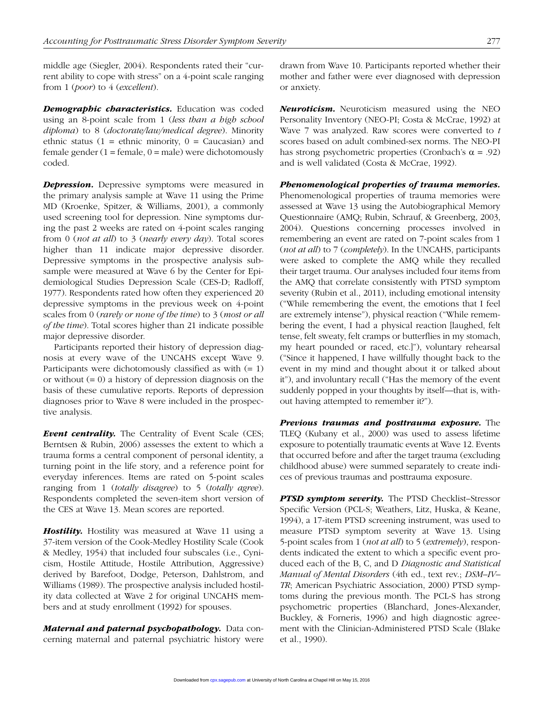middle age (Siegler, 2004). Respondents rated their "current ability to cope with stress" on a 4-point scale ranging from 1 (*poor*) to 4 (*excellent*).

*Demographic characteristics.* Education was coded using an 8-point scale from 1 (*less than a high school diploma*) to 8 (*doctorate/law/medical degree*). Minority ethnic status  $(1 =$  ethnic minority,  $0 =$  Caucasian) and female gender  $(1 = \text{female}, 0 = \text{male})$  were dichotomously coded.

**Depression.** Depressive symptoms were measured in the primary analysis sample at Wave 11 using the Prime MD (Kroenke, Spitzer, & Williams, 2001), a commonly used screening tool for depression. Nine symptoms during the past 2 weeks are rated on 4-point scales ranging from 0 (*not at all*) to 3 (*nearly every day*). Total scores higher than 11 indicate major depressive disorder. Depressive symptoms in the prospective analysis subsample were measured at Wave 6 by the Center for Epidemiological Studies Depression Scale (CES-D; Radloff, 1977). Respondents rated how often they experienced 20 depressive symptoms in the previous week on 4-point scales from 0 (*rarely or none of the time*) to 3 (*most or all of the time*). Total scores higher than 21 indicate possible major depressive disorder.

Participants reported their history of depression diagnosis at every wave of the UNCAHS except Wave 9. Participants were dichotomously classified as with  $(= 1)$ or without  $(= 0)$  a history of depression diagnosis on the basis of these cumulative reports. Reports of depression diagnoses prior to Wave 8 were included in the prospective analysis.

**Event centrality.** The Centrality of Event Scale (CES; Berntsen & Rubin, 2006) assesses the extent to which a trauma forms a central component of personal identity, a turning point in the life story, and a reference point for everyday inferences. Items are rated on 5-point scales ranging from 1 (*totally disagree*) to 5 (*totally agree*). Respondents completed the seven-item short version of the CES at Wave 13. Mean scores are reported.

*Hostility.* Hostility was measured at Wave 11 using a 37-item version of the Cook-Medley Hostility Scale (Cook & Medley, 1954) that included four subscales (i.e., Cynicism, Hostile Attitude, Hostile Attribution, Aggressive) derived by Barefoot, Dodge, Peterson, Dahlstrom, and Williams (1989). The prospective analysis included hostility data collected at Wave 2 for original UNCAHS members and at study enrollment (1992) for spouses.

*Maternal and paternal psychopathology.* Data concerning maternal and paternal psychiatric history were drawn from Wave 10. Participants reported whether their mother and father were ever diagnosed with depression or anxiety.

*Neuroticism.* Neuroticism measured using the NEO Personality Inventory (NEO-PI; Costa & McCrae, 1992) at Wave 7 was analyzed. Raw scores were converted to *t* scores based on adult combined-sex norms. The NEO-PI has strong psychometric properties (Cronbach's α = .92) and is well validated (Costa & McCrae, 1992).

*Phenomenological properties of trauma memories.* Phenomenological properties of trauma memories were assessed at Wave 13 using the Autobiographical Memory Questionnaire (AMQ; Rubin, Schrauf, & Greenberg, 2003, 2004). Questions concerning processes involved in remembering an event are rated on 7-point scales from 1 (*not at all*) to 7 (*completely*). In the UNCAHS, participants were asked to complete the AMQ while they recalled their target trauma. Our analyses included four items from the AMQ that correlate consistently with PTSD symptom severity (Rubin et al., 2011), including emotional intensity ("While remembering the event, the emotions that I feel are extremely intense"), physical reaction ("While remembering the event, I had a physical reaction [laughed, felt tense, felt sweaty, felt cramps or butterflies in my stomach, my heart pounded or raced, etc.]"), voluntary rehearsal ("Since it happened, I have willfully thought back to the event in my mind and thought about it or talked about it"), and involuntary recall ("Has the memory of the event suddenly popped in your thoughts by itself—that is, without having attempted to remember it?").

*Previous traumas and posttrauma exposure.* The TLEQ (Kubany et al., 2000) was used to assess lifetime exposure to potentially traumatic events at Wave 12. Events that occurred before and after the target trauma (excluding childhood abuse) were summed separately to create indices of previous traumas and posttrauma exposure.

*PTSD symptom severity.* The PTSD Checklist–Stressor Specific Version (PCL-S; Weathers, Litz, Huska, & Keane, 1994), a 17-item PTSD screening instrument, was used to measure PTSD symptom severity at Wave 13. Using 5-point scales from 1 (*not at all*) to 5 (*extremely*), respondents indicated the extent to which a specific event produced each of the B, C, and D *Diagnostic and Statistical Manual of Mental Disorders* (4th ed., text rev.; *DSM–IV– TR*; American Psychiatric Association, 2000) PTSD symptoms during the previous month. The PCL-S has strong psychometric properties (Blanchard, Jones-Alexander, Buckley, & Forneris, 1996) and high diagnostic agreement with the Clinician-Administered PTSD Scale (Blake et al., 1990).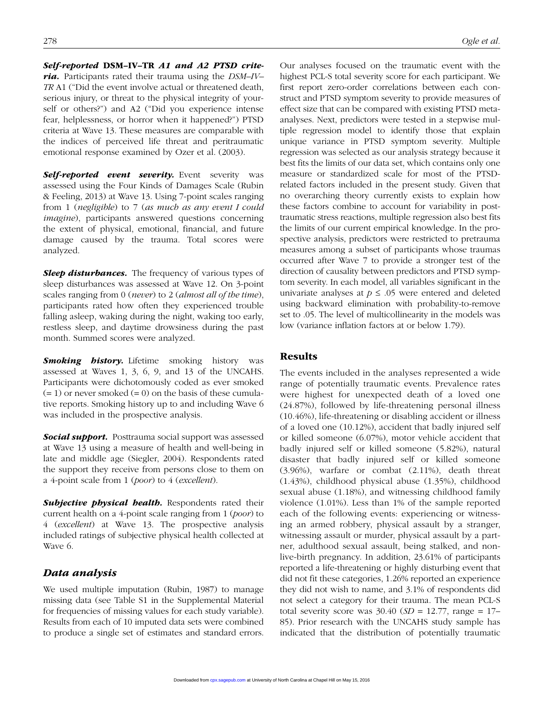*Self-reported* DSM–IV–TR *A1 and A2 PTSD criteria.* Participants rated their trauma using the *DSM–IV– TR* A1 ("Did the event involve actual or threatened death, serious injury, or threat to the physical integrity of yourself or others?") and A2 ("Did you experience intense fear, helplessness, or horror when it happened?") PTSD criteria at Wave 13. These measures are comparable with the indices of perceived life threat and peritraumatic emotional response examined by Ozer et al. (2003).

*Self-reported event severity.* Event severity was assessed using the Four Kinds of Damages Scale (Rubin & Feeling, 2013) at Wave 13. Using 7-point scales ranging from 1 (*negligible*) to 7 (*as much as any event I could imagine*), participants answered questions concerning the extent of physical, emotional, financial, and future damage caused by the trauma. Total scores were analyzed.

**Sleep disturbances.** The frequency of various types of sleep disturbances was assessed at Wave 12. On 3-point scales ranging from 0 (*never*) to 2 (*almost all of the time*), participants rated how often they experienced trouble falling asleep, waking during the night, waking too early, restless sleep, and daytime drowsiness during the past month. Summed scores were analyzed.

*Smoking history.* Lifetime smoking history was assessed at Waves 1, 3, 6, 9, and 13 of the UNCAHS. Participants were dichotomously coded as ever smoked  $(= 1)$  or never smoked  $(= 0)$  on the basis of these cumulative reports. Smoking history up to and including Wave 6 was included in the prospective analysis.

*Social support.* Posttrauma social support was assessed at Wave 13 using a measure of health and well-being in late and middle age (Siegler, 2004). Respondents rated the support they receive from persons close to them on a 4-point scale from 1 (*poor*) to 4 (*excellent*).

**Subjective physical health.** Respondents rated their current health on a 4-point scale ranging from 1 (*poor*) to 4 (*excellent*) at Wave 13. The prospective analysis included ratings of subjective physical health collected at Wave 6.

# *Data analysis*

We used multiple imputation (Rubin, 1987) to manage missing data (see Table S1 in the Supplemental Material for frequencies of missing values for each study variable). Results from each of 10 imputed data sets were combined to produce a single set of estimates and standard errors. Our analyses focused on the traumatic event with the highest PCL-S total severity score for each participant. We first report zero-order correlations between each construct and PTSD symptom severity to provide measures of effect size that can be compared with existing PTSD metaanalyses. Next, predictors were tested in a stepwise multiple regression model to identify those that explain unique variance in PTSD symptom severity. Multiple regression was selected as our analysis strategy because it best fits the limits of our data set, which contains only one measure or standardized scale for most of the PTSDrelated factors included in the present study. Given that no overarching theory currently exists to explain how these factors combine to account for variability in posttraumatic stress reactions, multiple regression also best fits the limits of our current empirical knowledge. In the prospective analysis, predictors were restricted to pretrauma measures among a subset of participants whose traumas occurred after Wave 7 to provide a stronger test of the direction of causality between predictors and PTSD symptom severity. In each model, all variables significant in the univariate analyses at  $p \leq 0.05$  were entered and deleted using backward elimination with probability-to-remove set to .05. The level of multicollinearity in the models was low (variance inflation factors at or below 1.79).

## Results

The events included in the analyses represented a wide range of potentially traumatic events. Prevalence rates were highest for unexpected death of a loved one (24.87%), followed by life-threatening personal illness (10.46%), life-threatening or disabling accident or illness of a loved one (10.12%), accident that badly injured self or killed someone (6.07%), motor vehicle accident that badly injured self or killed someone (5.82%), natural disaster that badly injured self or killed someone (3.96%), warfare or combat (2.11%), death threat (1.43%), childhood physical abuse (1.35%), childhood sexual abuse (1.18%), and witnessing childhood family violence (1.01%). Less than 1% of the sample reported each of the following events: experiencing or witnessing an armed robbery, physical assault by a stranger, witnessing assault or murder, physical assault by a partner, adulthood sexual assault, being stalked, and nonlive-birth pregnancy. In addition, 23.61% of participants reported a life-threatening or highly disturbing event that did not fit these categories, 1.26% reported an experience they did not wish to name, and 3.1% of respondents did not select a category for their trauma. The mean PCL-S total severity score was  $30.40$  (*SD* = 12.77, range = 17– 85). Prior research with the UNCAHS study sample has indicated that the distribution of potentially traumatic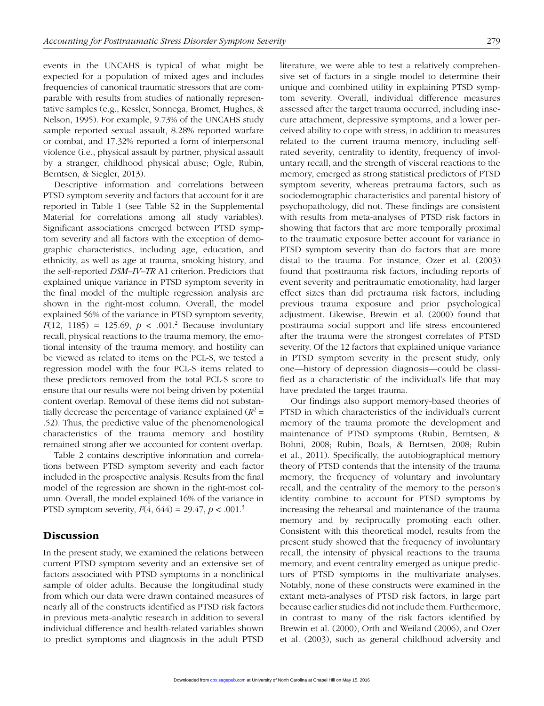events in the UNCAHS is typical of what might be expected for a population of mixed ages and includes frequencies of canonical traumatic stressors that are comparable with results from studies of nationally representative samples (e.g., Kessler, Sonnega, Bromet, Hughes, & Nelson, 1995). For example, 9.73% of the UNCAHS study sample reported sexual assault, 8.28% reported warfare or combat, and 17.32% reported a form of interpersonal violence (i.e., physical assault by partner, physical assault by a stranger, childhood physical abuse; Ogle, Rubin, Berntsen, & Siegler, 2013).

Descriptive information and correlations between PTSD symptom severity and factors that account for it are reported in Table 1 (see Table S2 in the Supplemental Material for correlations among all study variables). Significant associations emerged between PTSD symptom severity and all factors with the exception of demographic characteristics, including age, education, and ethnicity, as well as age at trauma, smoking history, and the self-reported *DSM–IV–TR* A1 criterion. Predictors that explained unique variance in PTSD symptom severity in the final model of the multiple regression analysis are shown in the right-most column. Overall, the model explained 56% of the variance in PTSD symptom severity,  $F(12, 1185) = 125.69, p < .001.<sup>2</sup>$  Because involuntary recall, physical reactions to the trauma memory, the emotional intensity of the trauma memory, and hostility can be viewed as related to items on the PCL-S, we tested a regression model with the four PCL-S items related to these predictors removed from the total PCL-S score to ensure that our results were not being driven by potential content overlap. Removal of these items did not substantially decrease the percentage of variance explained  $(R^2 =$ .52). Thus, the predictive value of the phenomenological characteristics of the trauma memory and hostility remained strong after we accounted for content overlap.

Table 2 contains descriptive information and correlations between PTSD symptom severity and each factor included in the prospective analysis. Results from the final model of the regression are shown in the right-most column. Overall, the model explained 16% of the variance in PTSD symptom severity,  $F(4, 644) = 29.47, p < .001$ <sup>3</sup>

# **Discussion**

In the present study, we examined the relations between current PTSD symptom severity and an extensive set of factors associated with PTSD symptoms in a nonclinical sample of older adults. Because the longitudinal study from which our data were drawn contained measures of nearly all of the constructs identified as PTSD risk factors in previous meta-analytic research in addition to several individual difference and health-related variables shown to predict symptoms and diagnosis in the adult PTSD

literature, we were able to test a relatively comprehensive set of factors in a single model to determine their unique and combined utility in explaining PTSD symptom severity. Overall, individual difference measures assessed after the target trauma occurred, including insecure attachment, depressive symptoms, and a lower perceived ability to cope with stress, in addition to measures related to the current trauma memory, including selfrated severity, centrality to identity, frequency of involuntary recall, and the strength of visceral reactions to the memory, emerged as strong statistical predictors of PTSD symptom severity, whereas pretrauma factors, such as sociodemographic characteristics and parental history of psychopathology, did not. These findings are consistent with results from meta-analyses of PTSD risk factors in showing that factors that are more temporally proximal to the traumatic exposure better account for variance in PTSD symptom severity than do factors that are more distal to the trauma. For instance, Ozer et al. (2003) found that posttrauma risk factors, including reports of event severity and peritraumatic emotionality, had larger effect sizes than did pretrauma risk factors, including previous trauma exposure and prior psychological adjustment. Likewise, Brewin et al. (2000) found that posttrauma social support and life stress encountered after the trauma were the strongest correlates of PTSD severity. Of the 12 factors that explained unique variance in PTSD symptom severity in the present study, only one—history of depression diagnosis—could be classified as a characteristic of the individual's life that may have predated the target trauma.

Our findings also support memory-based theories of PTSD in which characteristics of the individual's current memory of the trauma promote the development and maintenance of PTSD symptoms (Rubin, Berntsen, & Bohni, 2008; Rubin, Boals, & Berntsen, 2008; Rubin et al., 2011). Specifically, the autobiographical memory theory of PTSD contends that the intensity of the trauma memory, the frequency of voluntary and involuntary recall, and the centrality of the memory to the person's identity combine to account for PTSD symptoms by increasing the rehearsal and maintenance of the trauma memory and by reciprocally promoting each other. Consistent with this theoretical model, results from the present study showed that the frequency of involuntary recall, the intensity of physical reactions to the trauma memory, and event centrality emerged as unique predictors of PTSD symptoms in the multivariate analyses. Notably, none of these constructs were examined in the extant meta-analyses of PTSD risk factors, in large part because earlier studies did not include them. Furthermore, in contrast to many of the risk factors identified by Brewin et al. (2000), Orth and Weiland (2006), and Ozer et al. (2003), such as general childhood adversity and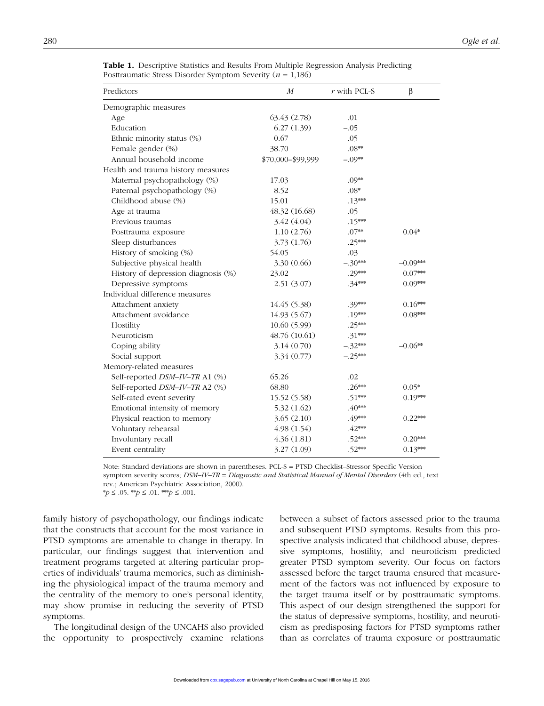| Predictors                          | $\boldsymbol{M}$  | $r$ with PCL-S | $\beta$    |
|-------------------------------------|-------------------|----------------|------------|
| Demographic measures                |                   |                |            |
| Age                                 | 63.43(2.78)       | .01            |            |
| Education                           | 6.27(1.39)        | $-.05$         |            |
| Ethnic minority status (%)          | 0.67              | .05            |            |
| Female gender (%)                   | 38.70             | $.08**$        |            |
| Annual household income             | \$70,000-\$99,999 | $-.09**$       |            |
| Health and trauma history measures  |                   |                |            |
| Maternal psychopathology (%)        | 17.03             | $.09**$        |            |
| Paternal psychopathology (%)        | 8.52              | $.08*$         |            |
| Childhood abuse (%)                 | 15.01             | $.13***$       |            |
| Age at trauma                       | 48.32 (16.68)     | .05            |            |
| Previous traumas                    | 3.42(4.04)        | $.15***$       |            |
| Posttrauma exposure                 | 1.10(2.76)        | $.07**$        | $0.04*$    |
| Sleep disturbances                  | 3.73(1.76)        | $.25***$       |            |
| History of smoking (%)              | 54.05             | .03            |            |
| Subjective physical health          | 3.30(0.66)        | $-.30***$      | $-0.09***$ |
| History of depression diagnosis (%) | 23.02             | $.29***$       | $0.07***$  |
| Depressive symptoms                 | 2.51(3.07)        | $.34***$       | $0.09***$  |
| Individual difference measures      |                   |                |            |
| Attachment anxiety                  | 14.45 (5.38)      | $.39***$       | $0.16***$  |
| Attachment avoidance                | 14.93 (5.67)      | $.19***$       | $0.08***$  |
| Hostility                           | 10.60 (5.99)      | $.25***$       |            |
| Neuroticism                         | 48.76 (10.61)     | $.31***$       |            |
| Coping ability                      | 3.14(0.70)        | $-.32***$      | $-0.06**$  |
| Social support                      | 3.34(0.77)        | $-.25***$      |            |
| Memory-related measures             |                   |                |            |
| Self-reported DSM-IV-TR A1 (%)      | 65.26             | .02            |            |
| Self-reported DSM-IV-TR A2 (%)      | 68.80             | $.26***$       | $0.05*$    |
| Self-rated event severity           | 15.52 (5.58)      | $.51***$       | $0.19***$  |
| Emotional intensity of memory       | 5.32(1.62)        | $.40***$       |            |
| Physical reaction to memory         | 3.65(2.10)        | .49***         | $0.22***$  |
| Voluntary rehearsal                 | 4.98 (1.54)       | $.42***$       |            |
| Involuntary recall                  | 4.36(1.81)        | $.52***$       | $0.20***$  |
| Event centrality                    | 3.27(1.09)        | $.52***$       | $0.13***$  |

Table 1. Descriptive Statistics and Results From Multiple Regression Analysis Predicting Posttraumatic Stress Disorder Symptom Severity (*n* = 1,186)

Note: Standard deviations are shown in parentheses. PCL-S = PTSD Checklist–Stressor Specific Version symptom severity scores; *DSM–IV–TR* = *Diagnostic and Statistical Manual of Mental Disorders* (4th ed., text rev.; American Psychiatric Association, 2000).

\**p* ≤ .05. \*\**p* ≤ .01. \*\*\**p* ≤ .001.

family history of psychopathology, our findings indicate that the constructs that account for the most variance in PTSD symptoms are amenable to change in therapy. In particular, our findings suggest that intervention and treatment programs targeted at altering particular properties of individuals' trauma memories, such as diminishing the physiological impact of the trauma memory and the centrality of the memory to one's personal identity, may show promise in reducing the severity of PTSD symptoms.

The longitudinal design of the UNCAHS also provided the opportunity to prospectively examine relations between a subset of factors assessed prior to the trauma and subsequent PTSD symptoms. Results from this prospective analysis indicated that childhood abuse, depressive symptoms, hostility, and neuroticism predicted greater PTSD symptom severity. Our focus on factors assessed before the target trauma ensured that measurement of the factors was not influenced by exposure to the target trauma itself or by posttraumatic symptoms. This aspect of our design strengthened the support for the status of depressive symptoms, hostility, and neuroticism as predisposing factors for PTSD symptoms rather than as correlates of trauma exposure or posttraumatic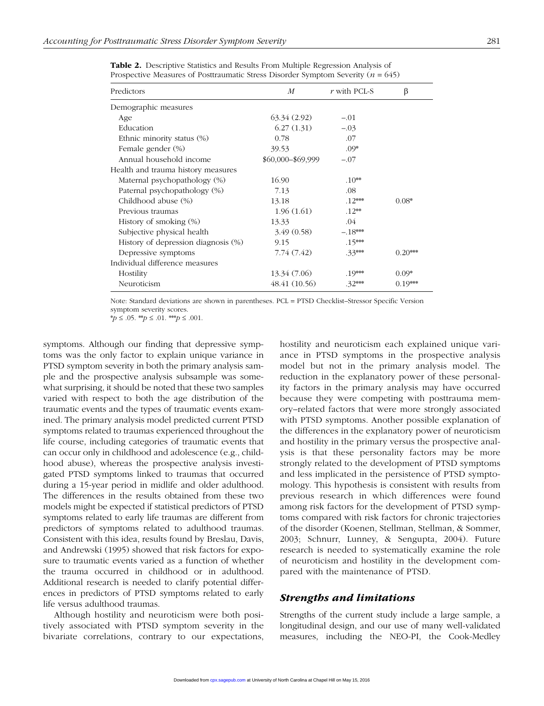| Predictors                          | М                 | $r$ with PCL-S | β         |
|-------------------------------------|-------------------|----------------|-----------|
| Demographic measures                |                   |                |           |
| Age                                 | 63.34 (2.92)      | $-.01$         |           |
| Education                           | 6.27(1.31)        | $-.03$         |           |
| Ethnic minority status (%)          | 0.78              | .07            |           |
| Female gender (%)                   | 39.53             | $.09*$         |           |
| Annual household income             | \$60,000-\$69,999 | $-.07$         |           |
| Health and trauma history measures  |                   |                |           |
| Maternal psychopathology (%)        | 16.90             | $.10**$        |           |
| Paternal psychopathology (%)        | 7.13              | .08            |           |
| Childhood abuse (%)                 | 13.18             | $.12***$       | $0.08*$   |
| Previous traumas                    | 1.96(1.61)        | $.12**$        |           |
| History of smoking $(\%)$           | 13.33             | .04            |           |
| Subjective physical health          | 3.49(0.58)        | $-.18***$      |           |
| History of depression diagnosis (%) | 9.15              | $.15***$       |           |
| Depressive symptoms                 | 7.74 (7.42)       | $.33***$       | $0.20***$ |
| Individual difference measures      |                   |                |           |
| Hostility                           | 13.34 (7.06)      | .19***         | $0.09*$   |
| Neuroticism                         | 48.41 (10.56)     | $.32***$       | $0.19***$ |

Table 2. Descriptive Statistics and Results From Multiple Regression Analysis of Prospective Measures of Posttraumatic Stress Disorder Symptom Severity (*n* = 645)

Note: Standard deviations are shown in parentheses. PCL = PTSD Checklist–Stressor Specific Version symptom severity scores.

\**p* ≤ .05. \*\**p* ≤ .01. \*\*\**p* ≤ .001.

symptoms. Although our finding that depressive symptoms was the only factor to explain unique variance in PTSD symptom severity in both the primary analysis sample and the prospective analysis subsample was somewhat surprising, it should be noted that these two samples varied with respect to both the age distribution of the traumatic events and the types of traumatic events examined. The primary analysis model predicted current PTSD symptoms related to traumas experienced throughout the life course, including categories of traumatic events that can occur only in childhood and adolescence (e.g., childhood abuse), whereas the prospective analysis investigated PTSD symptoms linked to traumas that occurred during a 15-year period in midlife and older adulthood. The differences in the results obtained from these two models might be expected if statistical predictors of PTSD symptoms related to early life traumas are different from predictors of symptoms related to adulthood traumas. Consistent with this idea, results found by Breslau, Davis, and Andrewski (1995) showed that risk factors for exposure to traumatic events varied as a function of whether the trauma occurred in childhood or in adulthood. Additional research is needed to clarify potential differences in predictors of PTSD symptoms related to early life versus adulthood traumas.

Although hostility and neuroticism were both positively associated with PTSD symptom severity in the bivariate correlations, contrary to our expectations, hostility and neuroticism each explained unique variance in PTSD symptoms in the prospective analysis model but not in the primary analysis model. The reduction in the explanatory power of these personality factors in the primary analysis may have occurred because they were competing with posttrauma memory–related factors that were more strongly associated with PTSD symptoms. Another possible explanation of the differences in the explanatory power of neuroticism and hostility in the primary versus the prospective analysis is that these personality factors may be more strongly related to the development of PTSD symptoms and less implicated in the persistence of PTSD symptomology. This hypothesis is consistent with results from previous research in which differences were found among risk factors for the development of PTSD symptoms compared with risk factors for chronic trajectories of the disorder (Koenen, Stellman, Stellman, & Sommer, 2003; Schnurr, Lunney, & Sengupta, 2004). Future research is needed to systematically examine the role of neuroticism and hostility in the development compared with the maintenance of PTSD.

## *Strengths and limitations*

Strengths of the current study include a large sample, a longitudinal design, and our use of many well-validated measures, including the NEO-PI, the Cook-Medley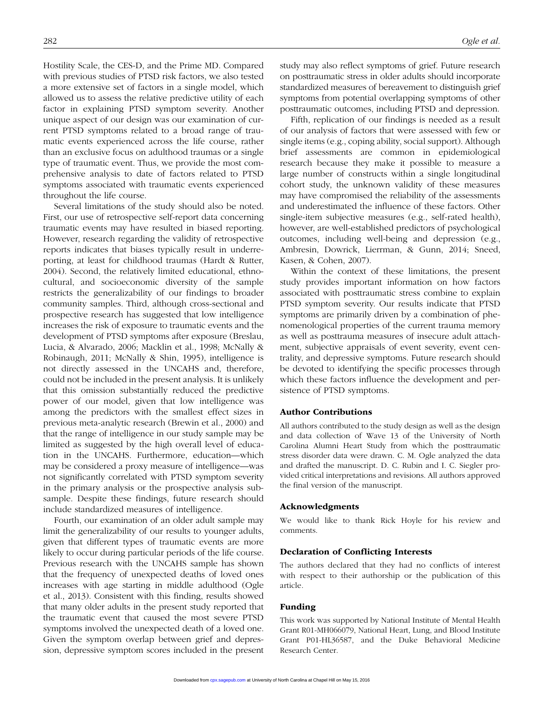Hostility Scale, the CES-D, and the Prime MD. Compared with previous studies of PTSD risk factors, we also tested a more extensive set of factors in a single model, which allowed us to assess the relative predictive utility of each factor in explaining PTSD symptom severity. Another unique aspect of our design was our examination of current PTSD symptoms related to a broad range of traumatic events experienced across the life course, rather than an exclusive focus on adulthood traumas or a single type of traumatic event. Thus, we provide the most comprehensive analysis to date of factors related to PTSD symptoms associated with traumatic events experienced throughout the life course.

Several limitations of the study should also be noted. First, our use of retrospective self-report data concerning traumatic events may have resulted in biased reporting. However, research regarding the validity of retrospective reports indicates that biases typically result in underreporting, at least for childhood traumas (Hardt & Rutter, 2004). Second, the relatively limited educational, ethnocultural, and socioeconomic diversity of the sample restricts the generalizability of our findings to broader community samples. Third, although cross-sectional and prospective research has suggested that low intelligence increases the risk of exposure to traumatic events and the development of PTSD symptoms after exposure (Breslau, Lucia, & Alvarado, 2006; Macklin et al., 1998; McNally & Robinaugh, 2011; McNally & Shin, 1995), intelligence is not directly assessed in the UNCAHS and, therefore, could not be included in the present analysis. It is unlikely that this omission substantially reduced the predictive power of our model, given that low intelligence was among the predictors with the smallest effect sizes in previous meta-analytic research (Brewin et al., 2000) and that the range of intelligence in our study sample may be limited as suggested by the high overall level of education in the UNCAHS. Furthermore, education—which may be considered a proxy measure of intelligence—was not significantly correlated with PTSD symptom severity in the primary analysis or the prospective analysis subsample. Despite these findings, future research should include standardized measures of intelligence.

Fourth, our examination of an older adult sample may limit the generalizability of our results to younger adults, given that different types of traumatic events are more likely to occur during particular periods of the life course. Previous research with the UNCAHS sample has shown that the frequency of unexpected deaths of loved ones increases with age starting in middle adulthood (Ogle et al., 2013). Consistent with this finding, results showed that many older adults in the present study reported that the traumatic event that caused the most severe PTSD symptoms involved the unexpected death of a loved one. Given the symptom overlap between grief and depression, depressive symptom scores included in the present study may also reflect symptoms of grief. Future research on posttraumatic stress in older adults should incorporate standardized measures of bereavement to distinguish grief symptoms from potential overlapping symptoms of other posttraumatic outcomes, including PTSD and depression.

Fifth, replication of our findings is needed as a result of our analysis of factors that were assessed with few or single items (e.g., coping ability, social support). Although brief assessments are common in epidemiological research because they make it possible to measure a large number of constructs within a single longitudinal cohort study, the unknown validity of these measures may have compromised the reliability of the assessments and underestimated the influence of these factors. Other single-item subjective measures (e.g., self-rated health), however, are well-established predictors of psychological outcomes, including well-being and depression (e.g., Ambresin, Dowrick, Lierrman, & Gunn, 2014; Sneed, Kasen, & Cohen, 2007).

Within the context of these limitations, the present study provides important information on how factors associated with posttraumatic stress combine to explain PTSD symptom severity. Our results indicate that PTSD symptoms are primarily driven by a combination of phenomenological properties of the current trauma memory as well as posttrauma measures of insecure adult attachment, subjective appraisals of event severity, event centrality, and depressive symptoms. Future research should be devoted to identifying the specific processes through which these factors influence the development and persistence of PTSD symptoms.

## Author Contributions

All authors contributed to the study design as well as the design and data collection of Wave 13 of the University of North Carolina Alumni Heart Study from which the posttraumatic stress disorder data were drawn. C. M. Ogle analyzed the data and drafted the manuscript. D. C. Rubin and I. C. Siegler provided critical interpretations and revisions. All authors approved the final version of the manuscript.

# Acknowledgments

We would like to thank Rick Hoyle for his review and comments.

#### Declaration of Conflicting Interests

The authors declared that they had no conflicts of interest with respect to their authorship or the publication of this article.

#### Funding

This work was supported by National Institute of Mental Health Grant R01-MH066079, National Heart, Lung, and Blood Institute Grant P01-HL36587, and the Duke Behavioral Medicine Research Center.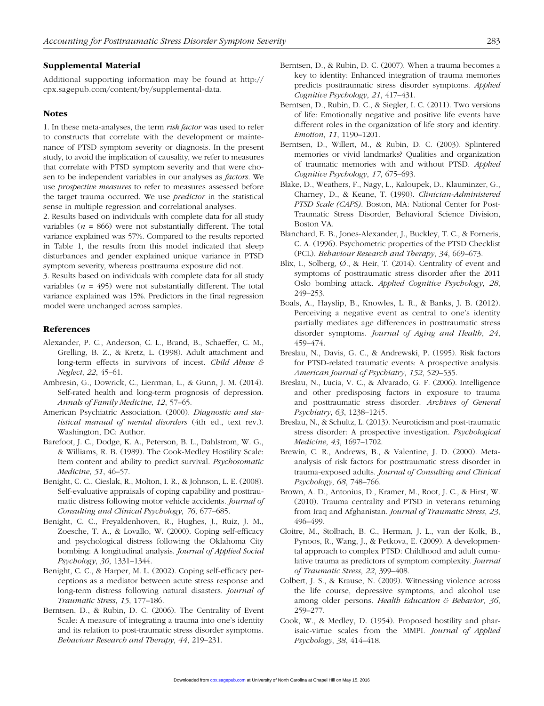#### Supplemental Material

Additional supporting information may be found at [http://](http://cpx.sagepub.com/content/by/supplemental-data) [cpx.sagepub.com/content/by/supplemental-data.](http://cpx.sagepub.com/content/by/supplemental-data)

#### **Notes**

1. In these meta-analyses, the term *risk factor* was used to refer to constructs that correlate with the development or maintenance of PTSD symptom severity or diagnosis. In the present study, to avoid the implication of causality, we refer to measures that correlate with PTSD symptom severity and that were chosen to be independent variables in our analyses as *factors*. We use *prospective measures* to refer to measures assessed before the target trauma occurred. We use *predictor* in the statistical sense in multiple regression and correlational analyses.

2. Results based on individuals with complete data for all study variables ( $n = 866$ ) were not substantially different. The total variance explained was 57%. Compared to the results reported in Table 1, the results from this model indicated that sleep disturbances and gender explained unique variance in PTSD symptom severity, whereas posttrauma exposure did not.

3. Results based on individuals with complete data for all study variables  $(n = 495)$  were not substantially different. The total variance explained was 15%. Predictors in the final regression model were unchanged across samples.

### References

- Alexander, P. C., Anderson, C. L., Brand, B., Schaeffer, C. M., Grelling, B. Z., & Kretz, L. (1998). Adult attachment and long-term effects in survivors of incest. *Child Abuse & Neglect*, *22*, 45–61.
- Ambresin, G., Dowrick, C., Lierrman, L., & Gunn, J. M. (2014). Self-rated health and long-term prognosis of depression. *Annals of Family Medicine*, *12*, 57–65.
- American Psychiatric Association. (2000). *Diagnostic and statistical manual of mental disorders* (4th ed., text rev.). Washington, DC: Author.
- Barefoot, J. C., Dodge, K. A., Peterson, B. L., Dahlstrom, W. G., & Williams, R. B. (1989). The Cook-Medley Hostility Scale: Item content and ability to predict survival. *Psychosomatic Medicine*, *51*, 46–57.
- Benight, C. C., Cieslak, R., Molton, I. R., & Johnson, L. E. (2008). Self-evaluative appraisals of coping capability and posttraumatic distress following motor vehicle accidents. *Journal of Consulting and Clinical Psychology*, *76*, 677–685.
- Benight, C. C., Freyaldenhoven, R., Hughes, J., Ruiz, J. M., Zoesche, T. A., & Lovallo, W. (2000). Coping self-efficacy and psychological distress following the Oklahoma City bombing: A longitudinal analysis. *Journal of Applied Social Psychology*, *30*, 1331–1344.
- Benight, C. C., & Harper, M. L. (2002). Coping self-efficacy perceptions as a mediator between acute stress response and long-term distress following natural disasters. *Journal of Traumatic Stress*, *15*, 177–186.
- Berntsen, D., & Rubin, D. C. (2006). The Centrality of Event Scale: A measure of integrating a trauma into one's identity and its relation to post-traumatic stress disorder symptoms. *Behaviour Research and Therapy*, *44*, 219–231.
- Berntsen, D., & Rubin, D. C. (2007). When a trauma becomes a key to identity: Enhanced integration of trauma memories predicts posttraumatic stress disorder symptoms. *Applied Cognitive Psychology*, *21*, 417–431.
- Berntsen, D., Rubin, D. C., & Siegler, I. C. (2011). Two versions of life: Emotionally negative and positive life events have different roles in the organization of life story and identity. *Emotion*, *11*, 1190–1201.
- Berntsen, D., Willert, M., & Rubin, D. C. (2003). Splintered memories or vivid landmarks? Qualities and organization of traumatic memories with and without PTSD. *Applied Cognitive Psychology*, *17*, 675–693.
- Blake, D., Weathers, F., Nagy, L., Kaloupek, D., Klauminzer, G., Charney, D., & Keane, T. (1990). *Clinician-Administered PTSD Scale (CAPS)*. Boston, MA: National Center for Post-Traumatic Stress Disorder, Behavioral Science Division, Boston VA.
- Blanchard, E. B., Jones-Alexander, J., Buckley, T. C., & Forneris, C. A. (1996). Psychometric properties of the PTSD Checklist (PCL). *Behaviour Research and Therapy*, *34*, 669–673.
- Blix, I., Solberg, Ø., & Heir, T. (2014). Centrality of event and symptoms of posttraumatic stress disorder after the 2011 Oslo bombing attack. *Applied Cognitive Psychology*, *28*, 249–253.
- Boals, A., Hayslip, B., Knowles, L. R., & Banks, J. B. (2012). Perceiving a negative event as central to one's identity partially mediates age differences in posttraumatic stress disorder symptoms. *Journal of Aging and Health*, *24*, 459–474.
- Breslau, N., Davis, G. C., & Andrewski, P. (1995). Risk factors for PTSD-related traumatic events: A prospective analysis. *American Journal of Psychiatry*, *152*, 529–535.
- Breslau, N., Lucia, V. C., & Alvarado, G. F. (2006). Intelligence and other predisposing factors in exposure to trauma and posttraumatic stress disorder. *Archives of General Psychiatry*, *63*, 1238–1245.
- Breslau, N., & Schultz, L. (2013). Neuroticism and post-traumatic stress disorder: A prospective investigation. *Psychological Medicine*, *43*, 1697–1702.
- Brewin, C. R., Andrews, B., & Valentine, J. D. (2000). Metaanalysis of risk factors for posttraumatic stress disorder in trauma-exposed adults. *Journal of Consulting and Clinical Psychology*, *68*, 748–766.
- Brown, A. D., Antonius, D., Kramer, M., Root, J. C., & Hirst, W. (2010). Trauma centrality and PTSD in veterans returning from Iraq and Afghanistan. *Journal of Traumatic Stress*, *23*, 496–499.
- Cloitre, M., Stolbach, B. C., Herman, J. L., van der Kolk, B., Pynoos, R., Wang, J., & Petkova, E. (2009). A developmental approach to complex PTSD: Childhood and adult cumulative trauma as predictors of symptom complexity. *Journal of Traumatic Stress*, *22*, 399–408.
- Colbert, J. S., & Krause, N. (2009). Witnessing violence across the life course, depressive symptoms, and alcohol use among older persons. *Health Education & Behavior*, *36*, 259–277.
- Cook, W., & Medley, D. (1954). Proposed hostility and pharisaic-virtue scales from the MMPI. *Journal of Applied Psychology*, *38*, 414–418.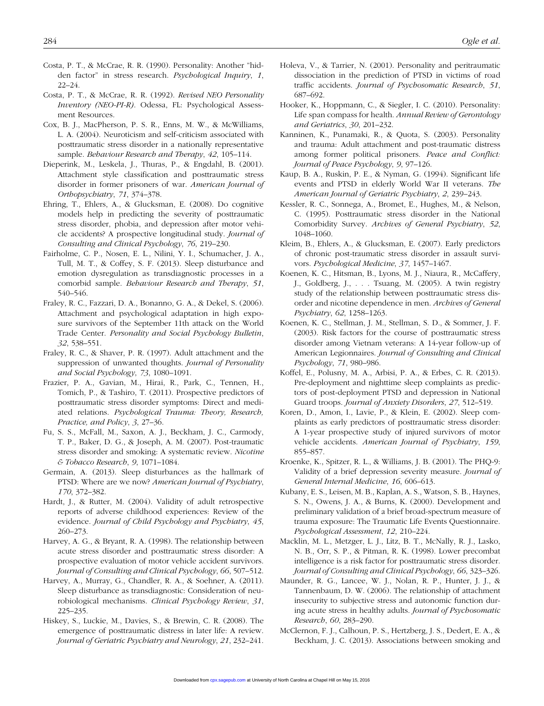- Costa, P. T., & McCrae, R. R. (1990). Personality: Another "hidden factor" in stress research. *Psychological Inquiry*, *1*, 22–24.
- Costa, P. T., & McCrae, R. R. (1992). *Revised NEO Personality Inventory (NEO-PI-R)*. Odessa, FL: Psychological Assessment Resources.
- Cox, B. J., MacPherson, P. S. R., Enns, M. W., & McWilliams, L. A. (2004). Neuroticism and self-criticism associated with posttraumatic stress disorder in a nationally representative sample. *Behaviour Research and Therapy*, *42*, 105–114.
- Dieperink, M., Leskela, J., Thuras, P., & Engdahl, B. (2001). Attachment style classification and posttraumatic stress disorder in former prisoners of war. *American Journal of Orthopsychiatry*, *71*, 374–378.
- Ehring, T., Ehlers, A., & Glucksman, E. (2008). Do cognitive models help in predicting the severity of posttraumatic stress disorder, phobia, and depression after motor vehicle accidents? A prospective longitudinal study. *Journal of Consulting and Clinical Psychology*, *76*, 219–230.
- Fairholme, C. P., Nosen, E. L., Nilini, Y. I., Schumacher, J. A., Tull, M. T., & Coffey, S. F. (2013). Sleep disturbance and emotion dysregulation as transdiagnostic processes in a comorbid sample. *Behaviour Research and Therapy*, *51*, 540–546.
- Fraley, R. C., Fazzari, D. A., Bonanno, G. A., & Dekel, S. (2006). Attachment and psychological adaptation in high exposure survivors of the September 11th attack on the World Trade Center. *Personality and Social Psychology Bulletin*, *32*, 538–551.
- Fraley, R. C., & Shaver, P. R. (1997). Adult attachment and the suppression of unwanted thoughts. *Journal of Personality and Social Psychology*, *73*, 1080–1091.
- Frazier, P. A., Gavian, M., Hirai, R., Park, C., Tennen, H., Tomich, P., & Tashiro, T. (2011). Prospective predictors of posttraumatic stress disorder symptoms: Direct and mediated relations. *Psychological Trauma: Theory, Research, Practice, and Policy*, *3*, 27–36.
- Fu, S. S., McFall, M., Saxon, A. J., Beckham, J. C., Carmody, T. P., Baker, D. G., & Joseph, A. M. (2007). Post-traumatic stress disorder and smoking: A systematic review. *Nicotine & Tobacco Research*, *9*, 1071–1084.
- Germain, A. (2013). Sleep disturbances as the hallmark of PTSD: Where are we now? *American Journal of Psychiatry*, *170*, 372–382.
- Hardt, J., & Rutter, M. (2004). Validity of adult retrospective reports of adverse childhood experiences: Review of the evidence. *Journal of Child Psychology and Psychiatry*, *45*, 260–273.
- Harvey, A. G., & Bryant, R. A. (1998). The relationship between acute stress disorder and posttraumatic stress disorder: A prospective evaluation of motor vehicle accident survivors. *Journal of Consulting and Clinical Psychology*, *66*, 507–512.
- Harvey, A., Murray, G., Chandler, R. A., & Soehner, A. (2011). Sleep disturbance as transdiagnostic: Consideration of neurobiological mechanisms. *Clinical Psychology Review*, *31*, 225–235.
- Hiskey, S., Luckie, M., Davies, S., & Brewin, C. R. (2008). The emergence of posttraumatic distress in later life: A review. *Journal of Geriatric Psychiatry and Neurology*, *21*, 232–241.
- Holeva, V., & Tarrier, N. (2001). Personality and peritraumatic dissociation in the prediction of PTSD in victims of road traffic accidents. *Journal of Psychosomatic Research*, *51*, 687–692.
- Hooker, K., Hoppmann, C., & Siegler, I. C. (2010). Personality: Life span compass for health. *Annual Review of Gerontology and Geriatrics*, *30*, 201–232.
- Kanninen, K., Punamaki, R., & Quota, S. (2003). Personality and trauma: Adult attachment and post-traumatic distress among former political prisoners. *Peace and Conflict: Journal of Peace Psychology*, *9*, 97–126.
- Kaup, B. A., Ruskin, P. E., & Nyman, G. (1994). Significant life events and PTSD in elderly World War II veterans. *The American Journal of Geriatric Psychiatry*, *2*, 239–243.
- Kessler, R. C., Sonnega, A., Bromet, E., Hughes, M., & Nelson, C. (1995). Posttraumatic stress disorder in the National Comorbidity Survey. *Archives of General Psychiatry*, *52*, 1048–1060.
- Kleim, B., Ehlers, A., & Glucksman, E. (2007). Early predictors of chronic post-traumatic stress disorder in assault survivors. *Psychological Medicine*, *37*, 1457–1467.
- Koenen, K. C., Hitsman, B., Lyons, M. J., Niaura, R., McCaffery, J., Goldberg, J., . . . Tsuang, M. (2005). A twin registry study of the relationship between posttraumatic stress disorder and nicotine dependence in men. *Archives of General Psychiatry*, *62*, 1258–1263.
- Koenen, K. C., Stellman, J. M., Stellman, S. D., & Sommer, J. F. (2003). Risk factors for the course of posttraumatic stress disorder among Vietnam veterans: A 14-year follow-up of American Legionnaires. *Journal of Consulting and Clinical Psychology*, *71*, 980–986.
- Koffel, E., Polusny, M. A., Arbisi, P. A., & Erbes, C. R. (2013). Pre-deployment and nighttime sleep complaints as predictors of post-deployment PTSD and depression in National Guard troops. *Journal of Anxiety Disorders*, *27*, 512–519.
- Koren, D., Amon, I., Lavie, P., & Klein, E. (2002). Sleep complaints as early predictors of posttraumatic stress disorder: A 1-year prospective study of injured survivors of motor vehicle accidents. *American Journal of Psychiatry*, *159*, 855–857.
- Kroenke, K., Spitzer, R. L., & Williams, J. B. (2001). The PHQ-9: Validity of a brief depression severity measure. *Journal of General Internal Medicine*, *16*, 606–613.
- Kubany, E. S., Leisen, M. B., Kaplan, A. S., Watson, S. B., Haynes, S. N., Owens, J. A., & Burns, K. (2000). Development and preliminary validation of a brief broad-spectrum measure of trauma exposure: The Traumatic Life Events Questionnaire. *Psychological Assessment*, *12*, 210–224.
- Macklin, M. L., Metzger, L. J., Litz, B. T., McNally, R. J., Lasko, N. B., Orr, S. P., & Pitman, R. K. (1998). Lower precombat intelligence is a risk factor for posttraumatic stress disorder. *Journal of Consulting and Clinical Psychology*, *66*, 323–326.
- Maunder, R. G., Lancee, W. J., Nolan, R. P., Hunter, J. J., & Tannenbaum, D. W. (2006). The relationship of attachment insecurity to subjective stress and autonomic function during acute stress in healthy adults. *Journal of Psychosomatic Research*, *60*, 283–290.
- McClernon, F. J., Calhoun, P. S., Hertzberg, J. S., Dedert, E. A., & Beckham, J. C. (2013). Associations between smoking and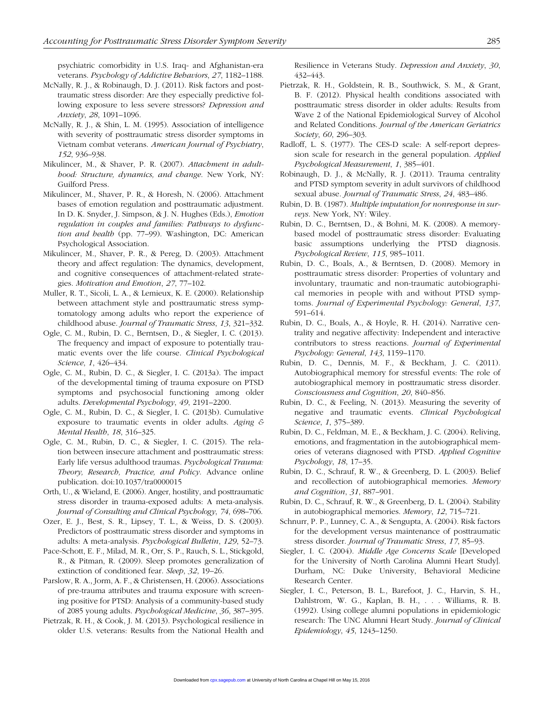psychiatric comorbidity in U.S. Iraq- and Afghanistan-era veterans. *Psychology of Addictive Behaviors*, *27*, 1182–1188.

- McNally, R. J., & Robinaugh, D. J. (2011). Risk factors and posttraumatic stress disorder: Are they especially predictive following exposure to less severe stressors? *Depression and Anxiety*, *28*, 1091–1096.
- McNally, R. J., & Shin, L. M. (1995). Association of intelligence with severity of posttraumatic stress disorder symptoms in Vietnam combat veterans. *American Journal of Psychiatry*, *152*, 936–938.
- Mikulincer, M., & Shaver, P. R. (2007). *Attachment in adulthood: Structure, dynamics, and change*. New York, NY: Guilford Press.
- Mikulincer, M., Shaver, P. R., & Horesh, N. (2006). Attachment bases of emotion regulation and posttraumatic adjustment. In D. K. Snyder, J. Simpson, & J. N. Hughes (Eds.), *Emotion regulation in couples and families: Pathways to dysfunction and health* (pp. 77–99). Washington, DC: American Psychological Association.
- Mikulincer, M., Shaver, P. R., & Pereg, D. (2003). Attachment theory and affect regulation: The dynamics, development, and cognitive consequences of attachment-related strategies. *Motivation and Emotion*, *27*, 77–102.
- Muller, R. T., Sicoli, L. A., & Lemieux, K. E. (2000). Relationship between attachment style and posttraumatic stress symptomatology among adults who report the experience of childhood abuse. *Journal of Traumatic Stress*, *13*, 321–332.
- Ogle, C. M., Rubin, D. C., Berntsen, D., & Siegler, I. C. (2013). The frequency and impact of exposure to potentially traumatic events over the life course. *Clinical Psychological Science*, *1*, 426–434.
- Ogle, C. M., Rubin, D. C., & Siegler, I. C. (2013a). The impact of the developmental timing of trauma exposure on PTSD symptoms and psychosocial functioning among older adults. *Developmental Psychology*, *49*, 2191–2200.
- Ogle, C. M., Rubin, D. C., & Siegler, I. C. (2013b). Cumulative exposure to traumatic events in older adults. *Aging & Mental Health*, *18*, 316–325.
- Ogle, C. M., Rubin, D. C., & Siegler, I. C. (2015). The relation between insecure attachment and posttraumatic stress: Early life versus adulthood traumas. *Psychological Trauma: Theory, Research, Practice, and Policy*. Advance online publication. doi:10.1037/tra0000015
- Orth, U., & Wieland, E. (2006). Anger, hostility, and posttraumatic stress disorder in trauma-exposed adults: A meta-analysis. *Journal of Consulting and Clinical Psychology*, *74*, 698–706.
- Ozer, E. J., Best, S. R., Lipsey, T. L., & Weiss, D. S. (2003). Predictors of posttraumatic stress disorder and symptoms in adults: A meta-analysis. *Psychological Bulletin*, *129*, 52–73.
- Pace-Schott, E. F., Milad, M. R., Orr, S. P., Rauch, S. L., Stickgold, R., & Pitman, R. (2009). Sleep promotes generalization of extinction of conditioned fear. *Sleep*, *32*, 19–26.
- Parslow, R. A., Jorm, A. F., & Christensen, H. (2006). Associations of pre-trauma attributes and trauma exposure with screening positive for PTSD: Analysis of a community-based study of 2085 young adults. *Psychological Medicine*, *36*, 387–395.
- Pietrzak, R. H., & Cook, J. M. (2013). Psychological resilience in older U.S. veterans: Results from the National Health and

Resilience in Veterans Study. *Depression and Anxiety*, *30*, 432–443.

- Pietrzak, R. H., Goldstein, R. B., Southwick, S. M., & Grant, B. F. (2012). Physical health conditions associated with posttraumatic stress disorder in older adults: Results from Wave 2 of the National Epidemiological Survey of Alcohol and Related Conditions. *Journal of the American Geriatrics Society*, *60*, 296–303.
- Radloff, L. S. (1977). The CES-D scale: A self-report depression scale for research in the general population. *Applied Psychological Measurement*, *1*, 385–401.
- Robinaugh, D. J., & McNally, R. J. (2011). Trauma centrality and PTSD symptom severity in adult survivors of childhood sexual abuse. *Journal of Traumatic Stress*, *24*, 483–486.
- Rubin, D. B. (1987). *Multiple imputation for nonresponse in surveys*. New York, NY: Wiley.
- Rubin, D. C., Berntsen, D., & Bohni, M. K. (2008). A memorybased model of posttraumatic stress disorder: Evaluating basic assumptions underlying the PTSD diagnosis. *Psychological Review*, *115*, 985–1011.
- Rubin, D. C., Boals, A., & Berntsen, D. (2008). Memory in posttraumatic stress disorder: Properties of voluntary and involuntary, traumatic and non-traumatic autobiographical memories in people with and without PTSD symptoms. *Journal of Experimental Psychology: General*, *137*, 591–614.
- Rubin, D. C., Boals, A., & Hoyle, R. H. (2014). Narrative centrality and negative affectivity: Independent and interactive contributors to stress reactions. *Journal of Experimental Psychology: General*, *143*, 1159–1170.
- Rubin, D. C., Dennis, M. F., & Beckham, J. C. (2011). Autobiographical memory for stressful events: The role of autobiographical memory in posttraumatic stress disorder. *Consciousness and Cognition*, *20*, 840–856.
- Rubin, D. C., & Feeling, N. (2013). Measuring the severity of negative and traumatic events. *Clinical Psychological Science*, *1*, 375–389.
- Rubin, D. C., Feldman, M. E., & Beckham, J. C. (2004). Reliving, emotions, and fragmentation in the autobiographical memories of veterans diagnosed with PTSD. *Applied Cognitive Psychology*, *18*, 17–35.
- Rubin, D. C., Schrauf, R. W., & Greenberg, D. L. (2003). Belief and recollection of autobiographical memories. *Memory and Cognition*, *31*, 887–901.
- Rubin, D. C., Schrauf, R. W., & Greenberg, D. L. (2004). Stability in autobiographical memories. *Memory*, *12*, 715–721.
- Schnurr, P. P., Lunney, C. A., & Sengupta, A. (2004). Risk factors for the development versus maintenance of posttraumatic stress disorder. *Journal of Traumatic Stress*, *17*, 85–93.
- Siegler, I. C. (2004). *Middle Age Concerns Scale* [Developed for the University of North Carolina Alumni Heart Study]. Durham, NC: Duke University, Behavioral Medicine Research Center.
- Siegler, I. C., Peterson, B. L., Barefoot, J. C., Harvin, S. H., Dahlstrom, W. G., Kaplan, B. H., . . . Williams, R. B. (1992). Using college alumni populations in epidemiologic research: The UNC Alumni Heart Study. *Journal of Clinical Epidemiology*, *45*, 1243–1250.